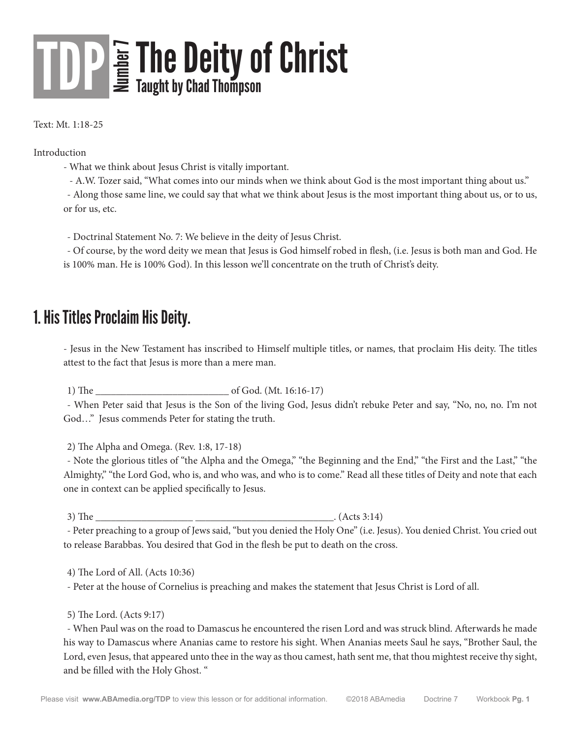### **The Deity of Christ**<br>E Taught by Chad Thompson TDP

Text: Mt. 1:18-25

Introduction

- What we think about Jesus Christ is vitally important.

- A.W. Tozer said, "What comes into our minds when we think about God is the most important thing about us."

- Along those same line, we could say that what we think about Jesus is the most important thing about us, or to us, or for us, etc.

- Doctrinal Statement No. 7: We believe in the deity of Jesus Christ.

- Of course, by the word deity we mean that Jesus is God himself robed in flesh, (i.e. Jesus is both man and God. He is 100% man. He is 100% God). In this lesson we'll concentrate on the truth of Christ's deity.

#### 1. His Titles Proclaim His Deity.

- Jesus in the New Testament has inscribed to Himself multiple titles, or names, that proclaim His deity. The titles attest to the fact that Jesus is more than a mere man.

1) The of God. (Mt. 16:16-17)

- When Peter said that Jesus is the Son of the living God, Jesus didn't rebuke Peter and say, "No, no, no. I'm not God…" Jesus commends Peter for stating the truth.

2) The Alpha and Omega. (Rev. 1:8, 17-18)

- Note the glorious titles of "the Alpha and the Omega," "the Beginning and the End," "the First and the Last," "the Almighty," "the Lord God, who is, and who was, and who is to come." Read all these titles of Deity and note that each one in context can be applied specifically to Jesus.

3) The  $(Acts 3:14)$ 

- Peter preaching to a group of Jews said, "but you denied the Holy One" (i.e. Jesus). You denied Christ. You cried out to release Barabbas. You desired that God in the flesh be put to death on the cross.

4) The Lord of All. (Acts 10:36)

- Peter at the house of Cornelius is preaching and makes the statement that Jesus Christ is Lord of all.

5) The Lord. (Acts 9:17)

- When Paul was on the road to Damascus he encountered the risen Lord and was struck blind. Afterwards he made his way to Damascus where Ananias came to restore his sight. When Ananias meets Saul he says, "Brother Saul, the Lord, even Jesus, that appeared unto thee in the way as thou camest, hath sent me, that thou mightest receive thy sight, and be filled with the Holy Ghost. "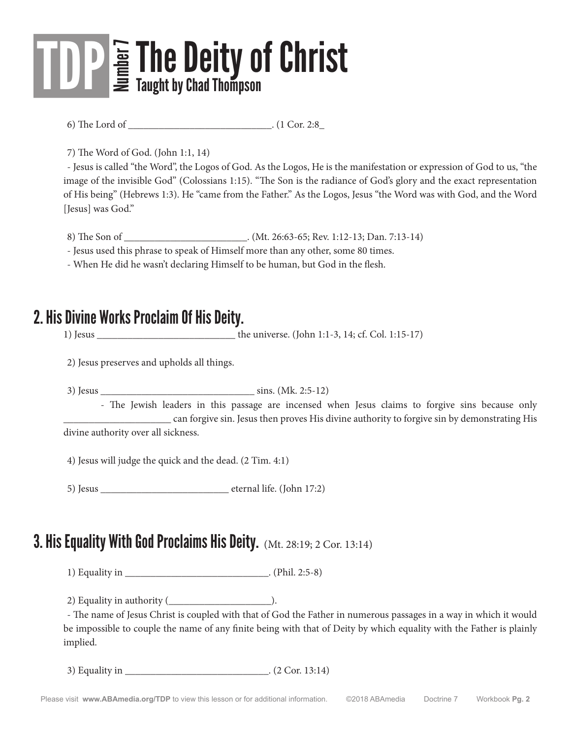6) The Lord of \_\_\_\_\_\_\_\_\_\_\_\_\_\_\_\_\_\_\_\_\_\_\_\_\_\_\_\_. (1 Cor. 2:8\_

7) The Word of God. (John 1:1, 14)

- Jesus is called "the Word", the Logos of God. As the Logos, He is the manifestation or expression of God to us, "the image of the invisible God" (Colossians 1:15). "The Son is the radiance of God's glory and the exact representation of His being" (Hebrews 1:3). He "came from the Father." As the Logos, Jesus "the Word was with God, and the Word [Jesus] was God."

8) The Son of . (Mt. 26:63-65; Rev. 1:12-13; Dan. 7:13-14)

- Jesus used this phrase to speak of Himself more than any other, some 80 times.

- When He did he wasn't declaring Himself to be human, but God in the flesh.

#### 2. His Divine Works Proclaim Of His Deity.

1) Jesus \_\_\_\_\_\_\_\_\_\_\_\_\_\_\_\_\_\_\_\_\_\_\_\_\_\_\_ the universe. (John 1:1-3, 14; cf. Col. 1:15-17)

2) Jesus preserves and upholds all things.

3) Jesus \_\_\_\_\_\_\_\_\_\_\_\_\_\_\_\_\_\_\_\_\_\_\_\_\_\_\_\_\_\_ sins. (Mk. 2:5-12)

 - The Jewish leaders in this passage are incensed when Jesus claims to forgive sins because only \_\_\_\_\_\_\_\_\_\_\_\_\_\_\_\_\_\_\_\_\_ can forgive sin. Jesus then proves His divine authority to forgive sin by demonstrating His divine authority over all sickness.

4) Jesus will judge the quick and the dead. (2 Tim. 4:1)

5) Jesus eternal life. (John 17:2)

#### **3. His Equality With God Proclaims His Deity.** (Mt. 28:19; 2 Cor. 13:14)

1) Equality in \_\_\_\_\_\_\_\_\_\_\_\_\_\_\_\_\_\_\_\_\_\_\_\_\_\_\_\_. (Phil. 2:5-8)

2) Equality in authority  $($ 

- The name of Jesus Christ is coupled with that of God the Father in numerous passages in a way in which it would be impossible to couple the name of any finite being with that of Deity by which equality with the Father is plainly implied.

3) Equality in \_\_\_\_\_\_\_\_\_\_\_\_\_\_\_\_\_\_\_\_\_\_\_\_\_\_\_\_. (2 Cor. 13:14)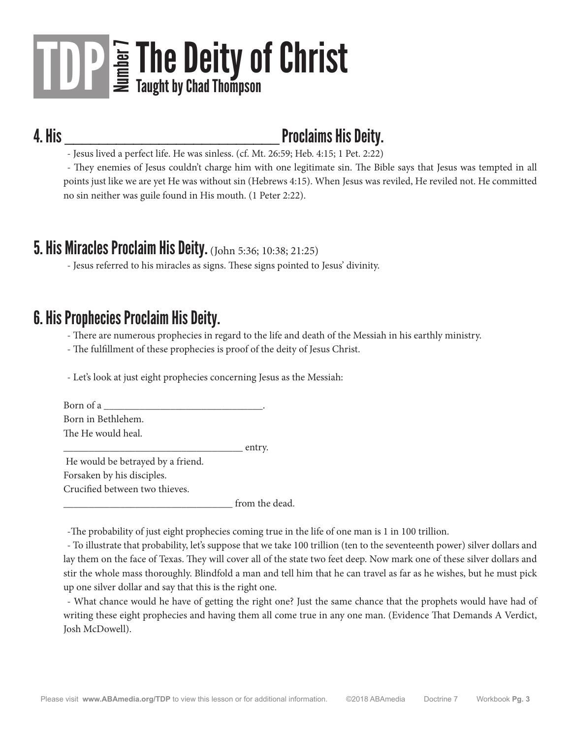### 4. His \_\_\_\_\_\_\_\_\_\_\_\_\_\_\_\_\_\_\_\_\_\_\_\_\_ Proclaims His Deity.

- Jesus lived a perfect life. He was sinless. (cf. Mt. 26:59; Heb. 4:15; 1 Pet. 2:22)

- They enemies of Jesus couldn't charge him with one legitimate sin. The Bible says that Jesus was tempted in all points just like we are yet He was without sin (Hebrews 4:15). When Jesus was reviled, He reviled not. He committed no sin neither was guile found in His mouth. (1 Peter 2:22).

#### 5. His Miracles Proclaim His Deity. (John 5:36; 10:38; 21:25)

- Jesus referred to his miracles as signs. These signs pointed to Jesus' divinity.

#### 6. His Prophecies Proclaim His Deity.

- There are numerous prophecies in regard to the life and death of the Messiah in his earthly ministry.

- The fulfillment of these prophecies is proof of the deity of Jesus Christ.

- Let's look at just eight prophecies concerning Jesus as the Messiah:

| Born of a          |        |
|--------------------|--------|
| Born in Bethlehem. |        |
| The He would heal. |        |
|                    | entry. |

 He would be betrayed by a friend. Forsaken by his disciples. Crucified between two thieves.

from the dead.

-The probability of just eight prophecies coming true in the life of one man is 1 in 100 trillion.

- To illustrate that probability, let's suppose that we take 100 trillion (ten to the seventeenth power) silver dollars and lay them on the face of Texas. They will cover all of the state two feet deep. Now mark one of these silver dollars and stir the whole mass thoroughly. Blindfold a man and tell him that he can travel as far as he wishes, but he must pick up one silver dollar and say that this is the right one.

- What chance would he have of getting the right one? Just the same chance that the prophets would have had of writing these eight prophecies and having them all come true in any one man. (Evidence That Demands A Verdict, Josh McDowell).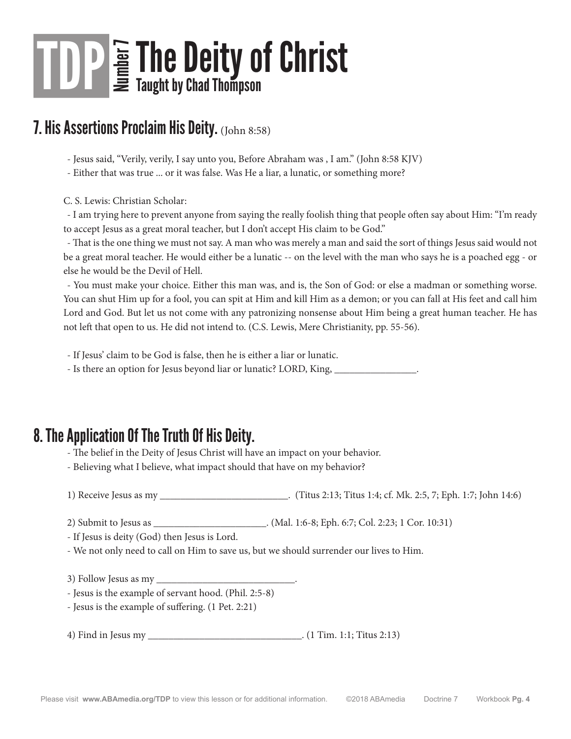#### 7. His Assertions Proclaim His Deity. (John 8:58)

- Jesus said, "Verily, verily, I say unto you, Before Abraham was , I am." (John 8:58 KJV)

- Either that was true ... or it was false. Was He a liar, a lunatic, or something more?

C. S. Lewis: Christian Scholar:

- I am trying here to prevent anyone from saying the really foolish thing that people often say about Him: "I'm ready to accept Jesus as a great moral teacher, but I don't accept His claim to be God."

- That is the one thing we must not say. A man who was merely a man and said the sort of things Jesus said would not be a great moral teacher. He would either be a lunatic -- on the level with the man who says he is a poached egg - or else he would be the Devil of Hell.

- You must make your choice. Either this man was, and is, the Son of God: or else a madman or something worse. You can shut Him up for a fool, you can spit at Him and kill Him as a demon; or you can fall at His feet and call him Lord and God. But let us not come with any patronizing nonsense about Him being a great human teacher. He has not left that open to us. He did not intend to. (C.S. Lewis, Mere Christianity, pp. 55-56).

- If Jesus' claim to be God is false, then he is either a liar or lunatic.

- Is there an option for Jesus beyond liar or lunatic? LORD, King,

#### 8. The Application Of The Truth Of His Deity.

- The belief in the Deity of Jesus Christ will have an impact on your behavior.

- Believing what I believe, what impact should that have on my behavior?

1) Receive Jesus as my \_\_\_\_\_\_\_\_\_\_\_\_\_\_\_\_\_\_\_\_\_\_\_\_\_. (Titus 2:13; Titus 1:4; cf. Mk. 2:5, 7; Eph. 1:7; John 14:6)

2) Submit to Jesus as \_\_\_\_\_\_\_\_\_\_\_\_\_\_\_\_\_\_\_\_\_\_. (Mal. 1:6-8; Eph. 6:7; Col. 2:23; 1 Cor. 10:31)

- If Jesus is deity (God) then Jesus is Lord.

- We not only need to call on Him to save us, but we should surrender our lives to Him.

3) Follow Jesus as my

- Jesus is the example of servant hood. (Phil. 2:5-8)

- Jesus is the example of suffering. (1 Pet. 2:21)

4) Find in Jesus my \_\_\_\_\_\_\_\_\_\_\_\_\_\_\_\_\_\_\_\_\_\_\_\_\_\_\_\_\_\_. (1 Tim. 1:1; Titus 2:13)